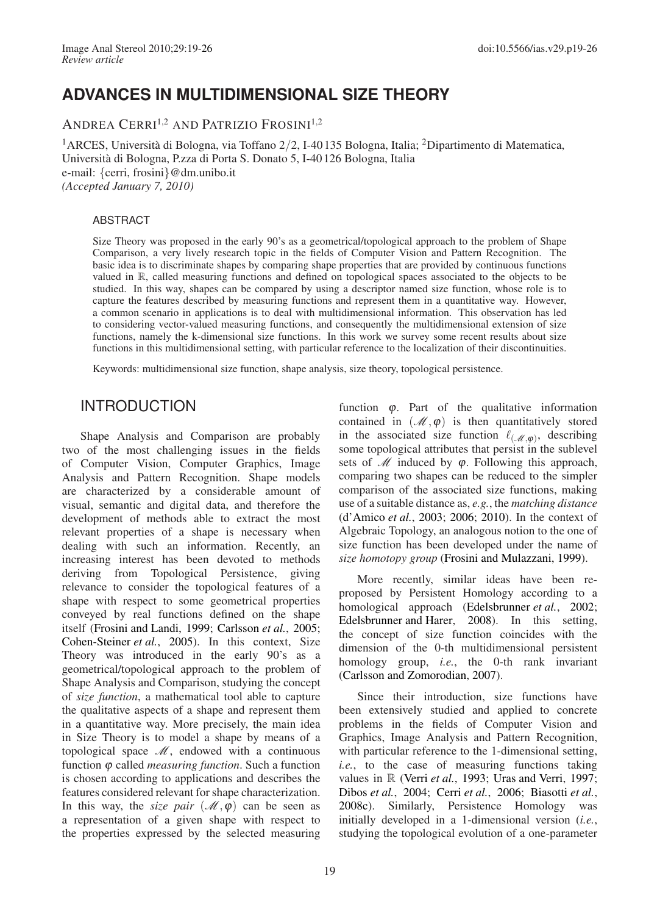# **ADVANCES IN MULTIDIMENSIONAL SIZE THEORY**

ANDREA CERRI1,<sup>2</sup> AND PATRIZIO FROSINI1,<sup>2</sup>

<sup>1</sup>ARCES, Università di Bologna, via Toffano 2/2, I-40 135 Bologna, Italia; <sup>2</sup>Dipartimento di Matematica, Università di Bologna, P.zza di Porta S. Donato 5, I-40 126 Bologna, Italia e-mail: {cerri, frosini}@dm.unibo.it *(Accepted January 7, 2010)*

#### ABSTRACT

Size Theory was proposed in the early 90's as a geometrical/topological approach to the problem of Shape Comparison, a very lively research topic in the fields of Computer Vision and Pattern Recognition. The basic idea is to discriminate shapes by comparing shape properties that are provided by continuous functions valued in R, called measuring functions and defined on topological spaces associated to the objects to be studied. In this way, shapes can be compared by using a descriptor named size function, whose role is to capture the features described by measuring functions and represent them in a quantitative way. However, a common scenario in applications is to deal with multidimensional information. This observation has led to considering vector-valued measuring functions, and consequently the multidimensional extension of size functions, namely the k-dimensional size functions. In this work we survey some recent results about size functions in this multidimensional setting, with particular reference to the localization of their discontinuities.

Keywords: multidimensional size function, shape analysis, size theory, topological persistence.

### INTRODUCTION

Shape Analysis and Comparison are probably two of the most challenging issues in the fields of Computer Vision, Computer Graphics, Image Analysis and Pattern Recognition. Shape models are characterized by a considerable amount of visual, semantic and digital data, and therefore the development of methods able to extract the most relevant properties of a shape is necessary when dealing with such an information. Recently, an increasing interest has been devoted to methods deriving from Topological Persistence, giving relevance to consider the topological features of a shape with respect to some geometrical properties conveyed by real functions defined on the shape itself [\(Frosini and Landi,](#page-7-1) [1999](#page-7-1); [Carlsson](#page-7-2) *et al.*, [2005](#page-7-2); [Cohen-Steiner](#page-7-3) *et al.*, [2005\)](#page-7-3). In this context, Size Theory was introduced in the early 90's as a geometrical/topological approach to the problem of Shape Analysis and Comparison, studying the concept of *size function*, a mathematical tool able to capture the qualitative aspects of a shape and represent them in a quantitative way. More precisely, the main idea in Size Theory is to model a shape by means of a topological space  $\mathcal{M}$ , endowed with a continuous function ϕ called *measuring function*. Such a function is chosen according to applications and describes the features considered relevant for shape characterization. In this way, the *size pair*  $(\mathcal{M}, \varphi)$  can be seen as a representation of a given shape with respect to the properties expressed by the selected measuring

function  $\varphi$ . Part of the qualitative information contained in  $(\mathcal{M}, \varphi)$  is then quantitatively stored in the associated size function  $\ell_{(\mathcal{M},\varphi)}$ , describing some topological attributes that persist in the sublevel sets of  $M$  induced by  $\varphi$ . Following this approach, comparing two shapes can be reduced to the simpler comparison of the associated size functions, making use of a suitable distance as, *e.g.*, the *matching distance* [\(d'Amico](#page-7-4) *et al.*, [2003;](#page-7-4) [2006](#page-7-5); [2010](#page-7-6)). In the context of Algebraic Topology, an analogous notion to the one of size function has been developed under the name of *size homotopy group* [\(Frosini and Mulazzani,](#page-7-7) [1999](#page-7-7)).

More recently, similar ideas have been reproposed by Persistent Homology according to a homological approach [\(Edelsbrunner](#page-7-8) *et al.*, [2002](#page-7-8); [Edelsbrunner and Harer,](#page-7-9) [2008\)](#page-7-9). In this setting, the concept of size function coincides with the dimension of the 0-th multidimensional persistent homology group, *i.e.*, the 0-th rank invariant [\(Carlsson and Zomorodian,](#page-7-10) [2007](#page-7-10)).

Since their introduction, size functions have been extensively studied and applied to concrete problems in the fields of Computer Vision and Graphics, Image Analysis and Pattern Recognition, with particular reference to the 1-dimensional setting, *i.e.*, to the case of measuring functions taking values in R [\(Verri](#page-7-11) *et al.*, [1993](#page-7-11); [Uras and Verri](#page-7-12), [1997](#page-7-12); [Dibos](#page-7-13) *et al.*, [2004](#page-7-13); [Cerri](#page-7-14) *et al.*, [2006;](#page-7-14) [Biasotti](#page-7-15) *et al.*, [2008c\)](#page-7-15). Similarly, Persistence Homology was initially developed in a 1-dimensional version (*i.e.*, studying the topological evolution of a one-parameter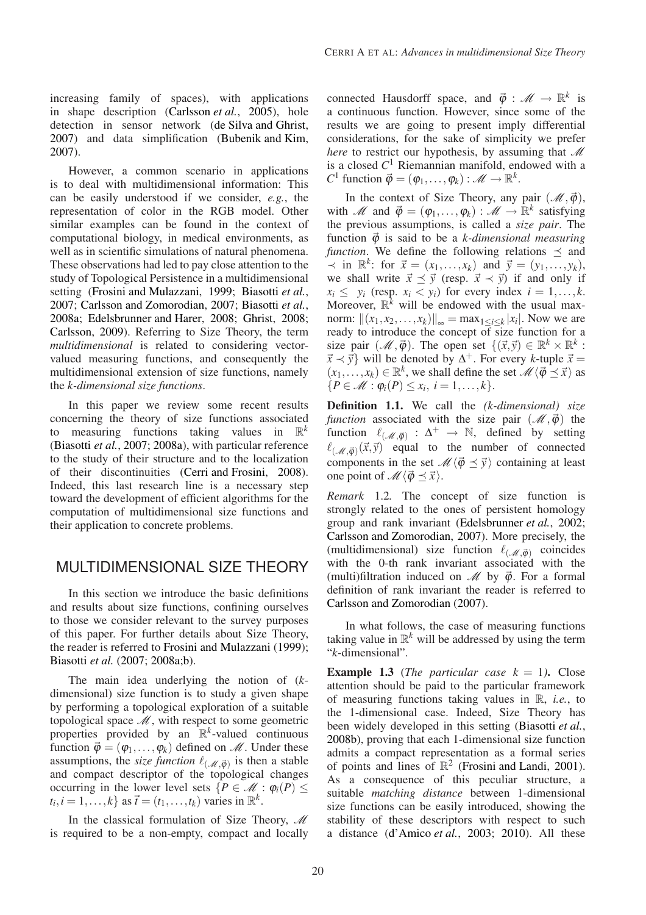increasing family of spaces), with applications in shape description [\(Carlsson](#page-7-2) *et al.*, [2005](#page-7-2)), hole detection in sensor network [\(de Silva and Ghrist](#page-7-16), [2007](#page-7-16)) and data simplification [\(Bubenik and Kim](#page-7-17), [2007](#page-7-17)).

However, a common scenario in applications is to deal with multidimensional information: This can be easily understood if we consider, *e.g.*, the representation of color in the RGB model. Other similar examples can be found in the context of computational biology, in medical environments, as well as in scientific simulations of natural phenomena. These observations had led to pay close attention to the study of Topological Persistence in a multidimensional setting [\(Frosini and Mulazzani](#page-7-7), [1999;](#page-7-7) [Biasotti](#page-7-18) *et al.*, [2007](#page-7-18); [Carlsson and Zomorodian](#page-7-10), [2007](#page-7-10); [Biasotti](#page-7-19) *et al.*, [2008a;](#page-7-19) [Edelsbrunner and Harer,](#page-7-9) [2008;](#page-7-9) [Ghrist](#page-7-20), [2008](#page-7-20); [Carlsson](#page-7-21), [2009\)](#page-7-21). Referring to Size Theory, the term *multidimensional* is related to considering vectorvalued measuring functions, and consequently the multidimensional extension of size functions, namely the *k-dimensional size functions*.

In this paper we review some recent results concerning the theory of size functions associated to measuring functions taking values in R *k* [\(Biasotti](#page-7-18) *et al.*, [2007;](#page-7-18) [2008a](#page-7-19)), with particular reference to the study of their structure and to the localization of their discontinuities [\(Cerri and Frosini](#page-7-22), [2008\)](#page-7-22). Indeed, this last research line is a necessary step toward the development of efficient algorithms for the computation of multidimensional size functions and their application to concrete problems.

## MULTIDIMENSIONAL SIZE THEORY

In this section we introduce the basic definitions and results about size functions, confining ourselves to those we consider relevant to the survey purposes of this paper. For further details about Size Theory, the reader is referred to [Frosini and Mulazzani](#page-7-7) [\(1999](#page-7-7)); [Biasotti](#page-7-18) *et al.* [\(2007](#page-7-18); [2008a](#page-7-19)[;b](#page-7-23)).

The main idea underlying the notion of (*k*dimensional) size function is to study a given shape by performing a topological exploration of a suitable topological space  $M$ , with respect to some geometric properties provided by an  $\mathbb{R}^k$ -valued continuous function  $\vec{\varphi} = (\varphi_1, \ldots, \varphi_k)$  defined on  $\mathcal{M}$ . Under these assumptions, the *size function*  $\ell_{(\mathcal{M}, \vec{\phi})}$  is then a stable and compact descriptor of the topological changes occurring in the lower level sets  $\{P \in \mathcal{M} : \varphi_i(P) \leq$  $t_i, i = 1, \ldots, k$  as  $\vec{t} = (t_1, \ldots, t_k)$  varies in  $\mathbb{R}^k$ .

In the classical formulation of Size Theory,  $\mathcal M$ is required to be a non-empty, compact and locally

connected Hausdorff space, and  $\vec{\varphi}$  :  $\mathcal{M} \to \mathbb{R}^k$  is a continuous function. However, since some of the results we are going to present imply differential considerations, for the sake of simplicity we prefer *here* to restrict our hypothesis, by assuming that  $\mathcal M$ is a closed *C* <sup>1</sup> Riemannian manifold, endowed with a *C*<sup>1</sup> function  $\vec{\varphi} = (\varphi_1, \dots, \varphi_k) : \mathcal{M} \to \mathbb{R}^k$ .

In the context of Size Theory, any pair  $(\mathcal{M}, \vec{\varphi})$ , with *M* and  $\vec{\varphi} = (\varphi_1, \dots, \varphi_k) : \mathcal{M} \to \mathbb{R}^k$  satisfying the previous assumptions, is called a *size pair*. The function  $\vec{\varphi}$  is said to be a *k*-dimensional measuring *function*. We define the following relations  $\preceq$  and  $\prec$  in ℝ<sup>*k*</sup>: for  $\vec{x} = (x_1, ..., x_k)$  and  $\vec{y} = (y_1, ..., y_k)$ , we shall write  $\vec{x} \preceq \vec{y}$  (resp.  $\vec{x} \prec \vec{y}$ ) if and only if  $x_i \leq y_i$  (resp.  $x_i < y_i$ ) for every index  $i = 1, \ldots, k$ . Moreover,  $\mathbb{R}^k$  will be endowed with the usual maxnorm:  $||(x_1, x_2,...,x_k)||_{∞} = max_{1 ≤ i ≤ k} |x_i|$ . Now we are ready to introduce the concept of size function for a size pair  $({\mathcal{M}}, \vec{\varphi})$ . The open set  $\{(\vec{x}, \vec{y}) \in \mathbb{R}^k \times \mathbb{R}^k :$  $\vec{x} \prec \vec{y}$  will be denoted by  $\Delta^+$ . For every *k*-tuple  $\vec{x} =$  $(x_1,...,x_k) \in \mathbb{R}^k$ , we shall define the set  $\mathscr{M}\langle \vec{\phi} \preceq \vec{x} \rangle$  as  ${P \in \mathcal{M} : \varphi_i(P) \leq x_i, i = 1, ..., k}.$ 

<span id="page-1-0"></span>**Definition 1.1.** We call the *(k-dimensional) size function* associated with the size pair  $(\mathcal{M}, \vec{\varphi})$  the function  $\ell_{(\mathcal{M}, \vec{\phi})} : \Delta^+ \to \mathbb{N}$ , defined by setting  $\ell_{(\mathcal{M},\vec{\phi})}(\vec{x},\vec{y})$  equal to the number of connected components in the set  $\mathcal{M}\langle \vec{\phi} \preceq \vec{y} \rangle$  containing at least one point of  $\mathcal{M}\langle \vec{\phi} \preceq \vec{x} \rangle$ .

*Remark* 1.2*.* The concept of size function is strongly related to the ones of persistent homology group and rank invariant [\(Edelsbrunner](#page-7-8) *et al.*, [2002](#page-7-8); [Carlsson and Zomorodian](#page-7-10), [2007](#page-7-10)). More precisely, the (multidimensional) size function  $\ell_{(\mathcal{M}, \vec{\phi})}$  coincides with the 0-th rank invariant associated with the (multi)filtration induced on  $\mathcal{M}$  by  $\vec{\varphi}$ . For a formal definition of rank invariant the reader is referred to [Carlsson and Zomorodian](#page-7-10) [\(2007](#page-7-10)).

In what follows, the case of measuring functions taking value in  $\mathbb{R}^k$  will be addressed by using the term "*k*-dimensional".

<span id="page-1-1"></span>**Example 1.3** (*The particular case*  $k = 1$ ). Close attention should be paid to the particular framework of measuring functions taking values in R, *i.e.*, to the 1-dimensional case. Indeed, Size Theory has been widely developed in this setting [\(Biasotti](#page-7-23) *et al.*, [2008b\)](#page-7-23), proving that each 1-dimensional size function admits a compact representation as a formal series of points and lines of  $\mathbb{R}^2$  [\(Frosini and Landi,](#page-7-24) [2001\)](#page-7-24). As a consequence of this peculiar structure, a suitable *matching distance* between 1-dimensional size functions can be easily introduced, showing the stability of these descriptors with respect to such a distance [\(d'Amico](#page-7-4) *et al.*, [2003;](#page-7-4) [2010\)](#page-7-6). All these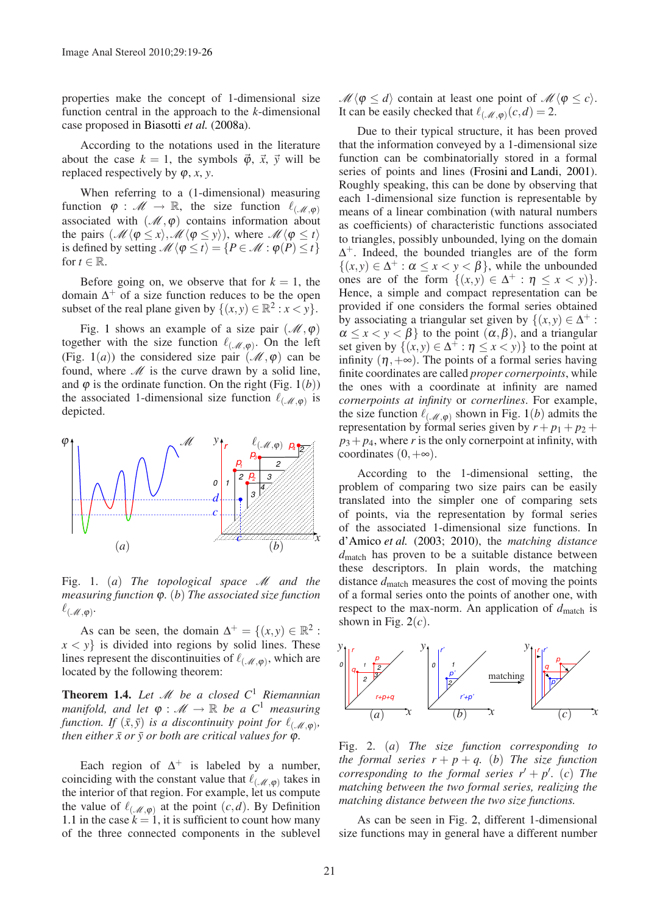properties make the concept of 1-dimensional size function central in the approach to the *k*-dimensional case proposed in [Biasotti](#page-7-19) *et al.* [\(2008a\)](#page-7-19).

According to the notations used in the literature about the case  $k = 1$ , the symbols  $\vec{\varphi}$ ,  $\vec{x}$ ,  $\vec{y}$  will be replaced respectively by  $\varphi$ , *x*, *y*.

When referring to a (1-dimensional) measuring function  $\varphi : \mathcal{M} \to \mathbb{R}$ , the size function  $\ell_{(\mathcal{M},\varphi)}$ associated with  $(\mathcal{M}, \varphi)$  contains information about the pairs  $(M \langle \varphi \leq x \rangle, \mathcal{M} \langle \varphi \leq y \rangle)$ , where  $\mathcal{M} \langle \varphi \leq t \rangle$ is defined by setting  $\mathcal{M}\langle \varphi \leq t \rangle = \{P \in \mathcal{M} : \varphi(P) \leq t\}$ for  $t \in \mathbb{R}$ .

Before going on, we observe that for  $k = 1$ , the domain  $\Delta^+$  of a size function reduces to be the open subset of the real plane given by  $\{(x, y) \in \mathbb{R}^2 : x < y\}.$ 

Fig. [1](#page-2-0) shows an example of a size pair  $(\mathcal{M}, \varphi)$ together with the size function  $\ell_{(\mathcal{M},\varphi)}$ . On the left (Fig. [1](#page-2-0)(*a*)) the considered size pair ( $\mathcal{M}, \varphi$ ) can be found, where  $M$  is the curve drawn by a solid line, and  $\varphi$  is the ordinate function. On the right (Fig. [1](#page-2-0)(*b*)) the associated 1-dimensional size function  $\ell_{(\mathcal{M},\varphi)}$  is depicted.



<span id="page-2-0"></span>Fig. 1. (*a*) *The topological space* M *and the measuring function* ϕ*.* (*b*) *The associated size function*  $\ell_{(\mathscr{M},\bm{\varphi})}.$ 

As can be seen, the domain  $\Delta^+ = \{(x, y) \in \mathbb{R}^2 :$  $x < y$  is divided into regions by solid lines. These lines represent the discontinuities of  $\ell_{(\mathcal{M},\varphi)}$ , which are located by the following theorem:

<span id="page-2-2"></span>**Theorem 1.4.** Let  $\mathcal{M}$  be a closed  $C^1$  Riemannian *manifold, and let*  $\varphi : \mathcal{M} \to \mathbb{R}$  *be a*  $C^1$  *measuring function. If*  $(\bar{x}, \bar{y})$  *is a discontinuity point for*  $\ell_{(\mathcal{M}, \varphi)}$ *, then either*  $\bar{x}$  *or*  $\bar{y}$  *or both are critical values for*  $\varphi$ *.* 

Each region of  $\Delta^+$  is labeled by a number, coinciding with the constant value that  $\ell_{(\mathcal{M},\varphi)}$  takes in the interior of that region. For example, let us compute the value of  $\ell_{(\mathcal{M},\varphi)}$  at the point  $(c,d)$ . By Definition [1.1](#page-1-0) in the case  $k = 1$ , it is sufficient to count how many of the three connected components in the sublevel  $\mathcal{M}\langle \varphi \leq d \rangle$  contain at least one point of  $\mathcal{M}\langle \varphi \leq c \rangle$ . It can be easily checked that  $\ell_{(\mathcal{M},\varphi)}(c,d) = 2$ .

Due to their typical structure, it has been proved that the information conveyed by a 1-dimensional size function can be combinatorially stored in a formal series of points and lines [\(Frosini and Landi](#page-7-24), [2001\)](#page-7-24). Roughly speaking, this can be done by observing that each 1-dimensional size function is representable by means of a linear combination (with natural numbers as coefficients) of characteristic functions associated to triangles, possibly unbounded, lying on the domain  $\Delta^+$ . Indeed, the bounded triangles are of the form  $\{(x,y) \in \Delta^+ : \alpha \leq x < y < \beta\}$ , while the unbounded ones are of the form  $\{(x,y) \in \Delta^+ : \eta \leq x < y\}.$ Hence, a simple and compact representation can be provided if one considers the formal series obtained by associating a triangular set given by  $\{(x, y) \in \Delta^+ :$  $\alpha \leq x < y < \beta$  to the point  $(\alpha, \beta)$ , and a triangular set given by  $\{(x, y) \in \Delta^+ : \eta \le x < y\}$  to the point at infinity  $(\eta, +\infty)$ . The points of a formal series having finite coordinates are called *proper cornerpoints*, while the ones with a coordinate at infinity are named *cornerpoints at infinity* or *cornerlines*. For example, the size function  $\ell_{(\mathcal{M},\varphi)}$  shown in Fig. [1](#page-2-0)(*b*) admits the representation by formal series given by  $r + p_1 + p_2 +$  $p_3 + p_4$ , where *r* is the only cornerpoint at infinity, with coordinates  $(0, +\infty)$ .

According to the 1-dimensional setting, the problem of comparing two size pairs can be easily translated into the simpler one of comparing sets of points, via the representation by formal series of the associated 1-dimensional size functions. In [d'Amico](#page-7-4) *et al.* [\(2003;](#page-7-4) [2010](#page-7-6)), the *matching distance d*match has proven to be a suitable distance between these descriptors. In plain words, the matching distance  $d_{\text{match}}$  measures the cost of moving the points of a formal series onto the points of another one, with respect to the max-norm. An application of  $d_{match}$  is shown in Fig.  $2(c)$  $2(c)$ .



<span id="page-2-1"></span>Fig. 2. (*a*) *The size function corresponding to the formal series*  $r + p + q$ *. (b) The size function corresponding to the formal series*  $r' + p'$ *.* (*c*) The *matching between the two formal series, realizing the matching distance between the two size functions.*

As can be seen in Fig. [2,](#page-2-1) different 1-dimensional size functions may in general have a different number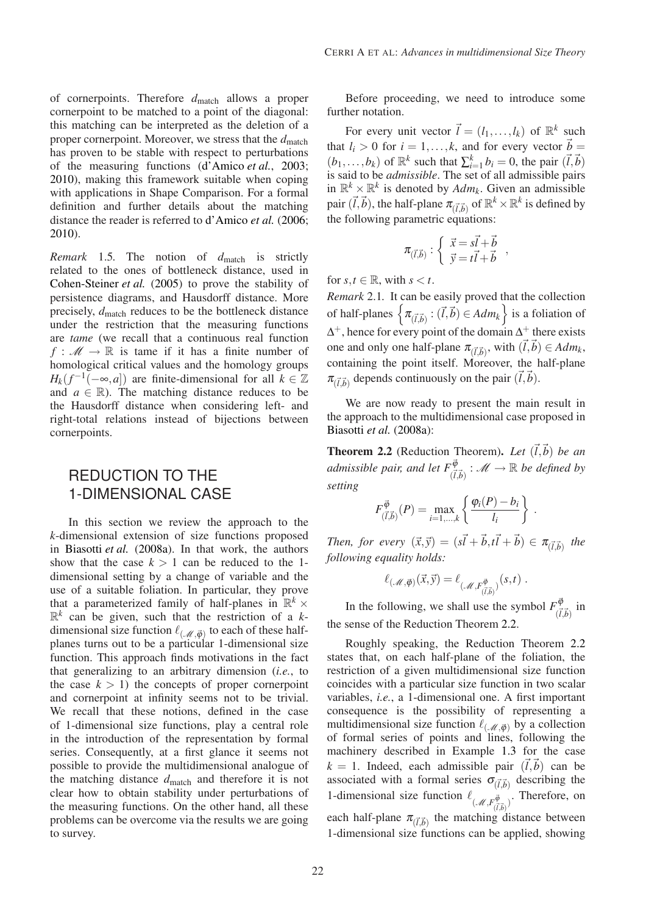of cornerpoints. Therefore  $d_{match}$  allows a proper cornerpoint to be matched to a point of the diagonal: this matching can be interpreted as the deletion of a proper cornerpoint. Moreover, we stress that the  $d_{\text{match}}$ has proven to be stable with respect to perturbations of the measuring functions [\(d'Amico](#page-7-4) *et al.*, [2003](#page-7-4); [2010](#page-7-6)), making this framework suitable when coping with applications in Shape Comparison. For a formal definition and further details about the matching distance the reader is referred to [d'Amico](#page-7-5) *et al.* [\(2006](#page-7-5); [2010](#page-7-6)).

*Remark* 1.5*.* The notion of *d*match is strictly related to the ones of bottleneck distance, used in [Cohen-Steiner](#page-7-3) *et al.* [\(2005\)](#page-7-3) to prove the stability of persistence diagrams, and Hausdorff distance. More precisely,  $d_{match}$  reduces to be the bottleneck distance under the restriction that the measuring functions are *tame* (we recall that a continuous real function  $f: M \to \mathbb{R}$  is tame if it has a finite number of homological critical values and the homology groups  $H_k(f^{-1}(-\infty, a])$  are finite-dimensional for all  $k \in \mathbb{Z}$ and  $a \in \mathbb{R}$ ). The matching distance reduces to be the Hausdorff distance when considering left- and right-total relations instead of bijections between cornerpoints.

### REDUCTION TO THE 1-DIMENSIONAL CASE

In this section we review the approach to the *k*-dimensional extension of size functions proposed in [Biasotti](#page-7-19) *et al.* [\(2008a\)](#page-7-19). In that work, the authors show that the case  $k > 1$  can be reduced to the 1dimensional setting by a change of variable and the use of a suitable foliation. In particular, they prove that a parameterized family of half-planes in  $\mathbb{R}^k$  ×  $\mathbb{R}^k$  can be given, such that the restriction of a *k*dimensional size function  $\ell_{(\mathcal{M}, \vec{\phi})}$  to each of these halfplanes turns out to be a particular 1-dimensional size function. This approach finds motivations in the fact that generalizing to an arbitrary dimension (*i.e.*, to the case  $k > 1$ ) the concepts of proper cornerpoint and cornerpoint at infinity seems not to be trivial. We recall that these notions, defined in the case of 1-dimensional size functions, play a central role in the introduction of the representation by formal series. Consequently, at a first glance it seems not possible to provide the multidimensional analogue of the matching distance  $d_{\text{match}}$  and therefore it is not clear how to obtain stability under perturbations of the measuring functions. On the other hand, all these problems can be overcome via the results we are going to survey.

Before proceeding, we need to introduce some further notation.

For every unit vector  $\vec{l} = (l_1, \ldots, l_k)$  of  $\mathbb{R}^k$  such that  $l_i > 0$  for  $i = 1, ..., k$ , and for every vector  $\vec{b} =$  $(b_1, \ldots, b_k)$  of  $\mathbb{R}^k$  such that  $\sum_{i=1}^k b_i = 0$ , the pair  $(\vec{l}, \vec{b})$ is said to be *admissible*. The set of all admissible pairs in  $\mathbb{R}^k \times \mathbb{R}^k$  is denoted by  $Adm_k$ . Given an admissible pair  $(\vec{l},\vec{b})$ , the half-plane  $\pi_{(\vec{l},\vec{b})}$  of  $\mathbb{R}^k\times\mathbb{R}^k$  is defined by the following parametric equations:

$$
\pi_{(\vec{l},\vec{b})} : \begin{cases} \vec{x} = s\vec{l} + \vec{b} \\ \vec{y} = t\vec{l} + \vec{b} \end{cases}
$$

,

for  $s, t \in \mathbb{R}$ , with  $s < t$ .

*Remark* 2.1*.* It can be easily proved that the collection of half-planes  $\left\{ \pi_{(\vec{l},\vec{b})}: (\vec{l},\vec{b}) \in Adm_k \right\}$  is a foliation of  $\Delta^+$ , hence for every point of the domain  $\Delta^+$  there exists one and only one half-plane  $\pi_{(\vec{l}, \vec{b})}$ , with  $(\vec{l}, \vec{b}) \in Adm_k$ , containing the point itself. Moreover, the half-plane  $\pi_{(\vec{l},\vec{b})}$  depends continuously on the pair  $(\vec{l},\vec{b})$ .

We are now ready to present the main result in the approach to the multidimensional case proposed in [Biasotti](#page-7-19) *et al.* [\(2008a](#page-7-19)):

<span id="page-3-0"></span>**Theorem 2.2** (Reduction Theorem). Let  $(\vec{l}, \vec{b})$  be an *admissible pair, and let*  $F^{\vec{\phi}}_{(\vec{l},\vec{b})}$  :  $M \rightarrow \mathbb{R}$  *be defined by setting*

$$
F_{(\vec{l},\vec{b})}^{\vec{\varphi}}(P) = \max_{i=1,\ldots,k} \left\{ \frac{\varphi_i(P) - b_i}{l_i} \right\} .
$$

*Then, for every*  $(\vec{x}, \vec{y}) = (\vec{s} \cdot \vec{l} + \vec{b}, \vec{t} \cdot \vec{l} + \vec{b}) \in \pi_{(\vec{l}, \vec{b})}$  the *following equality holds:*

$$
\ell_{(\mathscr{M}, \vec{\phi})}(\vec{x}, \vec{y}) = \ell_{(\mathscr{M}, F^{\vec{\phi}}_{(\vec{l}, \vec{b})})}(s, t) .
$$

In the following, we shall use the symbol  $F_{\vec{d}}^{\vec{\phi}}$  $\frac{\partial \varphi}{(\vec{l}, \vec{b})}$  in the sense of the Reduction Theorem [2.2.](#page-3-0)

Roughly speaking, the Reduction Theorem [2.2](#page-3-0) states that, on each half-plane of the foliation, the restriction of a given multidimensional size function coincides with a particular size function in two scalar variables, *i.e.*, a 1-dimensional one. A first important consequence is the possibility of representing a multidimensional size function  $\ell_{(\mathcal{M},\vec{\phi})}$  by a collection of formal series of points and lines, following the machinery described in Example [1.3](#page-1-1) for the case  $k = 1$ . Indeed, each admissible pair  $(\vec{l}, \vec{b})$  can be associated with a formal series  $\sigma_{(\vec{l},\vec{b})}$  describing the 1-dimensional size function  $\ell_{(A,F_{(\vec{l},\vec{b})})}$ . Therefore, on each half-plane  $\pi_{(\vec{l},\vec{b})}$  the matching distance between 1-dimensional size functions can be applied, showing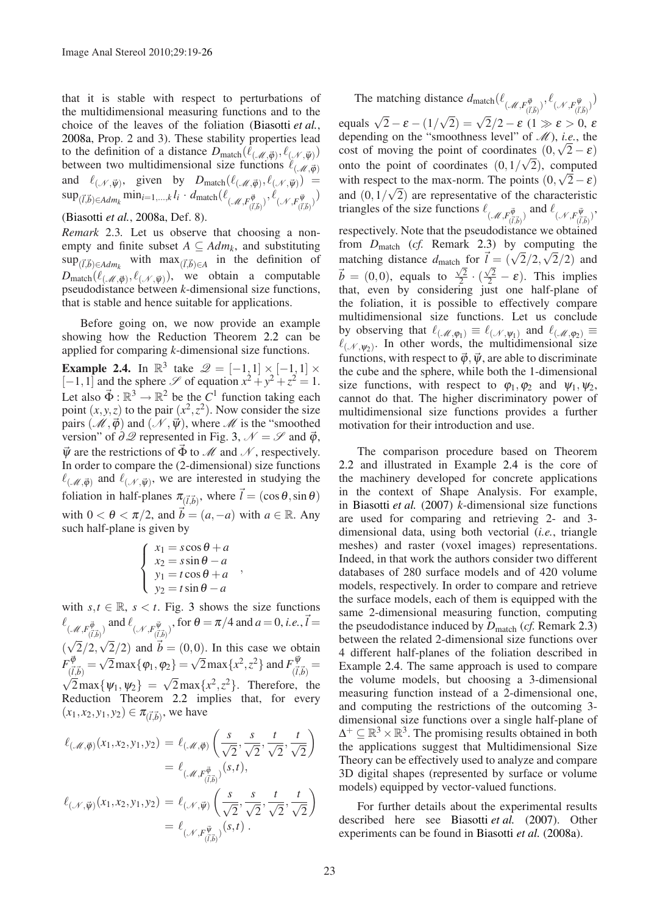that it is stable with respect to perturbations of the multidimensional measuring functions and to the choice of the leaves of the foliation [\(Biasotti](#page-7-19) *et al.*, [2008a,](#page-7-19) Prop. 2 and 3). These stability properties lead to the definition of a distance  $D_{match}(\ell_{(\mathcal{M}, \vec{\phi})}, \ell_{(\mathcal{N}, \vec{\psi})})$ between two multidimensional size functions  $\ell_{(\mathcal{M},\vec{\phi})}$ and  $\ell_{(\mathcal{N}, \vec{\psi})}$ , given by  $D_{match}(\ell_{(\mathcal{M}, \vec{\phi})}, \ell_{(\mathcal{N}, \vec{\psi})}) =$  $\sup_{(\vec{l},\vec{b})\in Adm_k} \min_{i=1,...,k} l_i \cdot d_{\text{match}}(\ell_{(\mathscr{M},F_{(\vec{l},\vec{b})}^{\vec{\varphi}})}, \ell_{(\mathscr{N},F_{(\vec{l},\vec{b})}^{\vec{\psi}})})$ 

<span id="page-4-0"></span>[\(Biasotti](#page-7-19) *et al.*, [2008a,](#page-7-19) Def. 8).

*Remark* 2.3*.* Let us observe that choosing a nonempty and finite subset  $A \subseteq Adm_k$ , and substituting  $\sup_{(\vec{l},\vec{b})\in Adm_k}$  with  $\max_{(\vec{l},\vec{b})\in A}$  in the definition of  $D_{\text{match}}(\ell_{(\mathscr{M}, \vec{\varphi}), \ell_{(\mathscr{N}, \vec{\psi})}})$ , we obtain a computable pseudodistance between *k*-dimensional size functions, that is stable and hence suitable for applications.

Before going on, we now provide an example showing how the Reduction Theorem [2.2](#page-3-0) can be applied for comparing *k*-dimensional size functions.

<span id="page-4-1"></span>**Example 2.4.** In  $\mathbb{R}^3$  take  $\mathscr{Q} = \begin{bmatrix} -1 & 1 \end{bmatrix} \times \begin{bmatrix} -1 & 1 \end{bmatrix} \times$ [-1,1] and the sphere  $\mathscr S$  of equation  $x^2 + y^2 + z^2 = 1$ . Let also  $\vec{\Phi} : \mathbb{R}^3 \to \mathbb{R}^2$  be the *C*<sup>1</sup> function taking each point  $(x, y, z)$  to the pair  $(x^2, z^2)$ . Now consider the size pairs  $(\mathcal{M}, \vec{\varphi})$  and  $(\mathcal{N}, \vec{\psi})$ , where  $\mathcal{M}$  is the "smoothed" version" of  $\partial \mathcal{Q}$  represented in Fig. [3,](#page-5-0)  $\mathcal{N} = \mathcal{S}$  and  $\vec{\varphi}$ ,  $\vec{\psi}$  are the restrictions of  $\vec{\Phi}$  to  $\mathcal{M}$  and  $\mathcal{N}$ , respectively. In order to compare the (2-dimensional) size functions  $\ell_{(\mathcal{M}, \vec{\phi})}$  and  $\ell_{(\mathcal{N}, \vec{\psi})}$ , we are interested in studying the foliation in half-planes  $\pi_{(\vec{l},\vec{b})}$ , where  $\vec{l} = (\cos\theta, \sin\theta)$ with  $0 < \theta < \pi/2$ , and  $\vec{b} = (a, -a)$  with  $a \in \mathbb{R}$ . Any such half-plane is given by

$$
\begin{cases}\nx_1 = s\cos\theta + a \\
x_2 = s\sin\theta - a \\
y_1 = t\cos\theta + a \\
y_2 = t\sin\theta - a\n\end{cases}
$$

,

with  $s, t \in \mathbb{R}$ ,  $s < t$ . Fig. [3](#page-5-0) shows the size functions  $\ell_{(\mathcal{M},F^{\vec{\varphi}}_{(\vec{l},\vec{b})})}$  and  $\ell_{(\mathcal{N},F^{\vec{\psi}}_{(\vec{l},\vec{b})})}$ , for  $\theta = \pi/4$  and  $a = 0$ , *i.e.*,  $\vec{l} =$  $(\sqrt{2}/2, \sqrt{2}/2)$  and  $\vec{b} = (0,0)$ . In this case we obtain  $F^{{\vec{\phi}}}_{\vec{\alpha}}$  $\frac{d\vec{\phi}}{d(\vec{l},\vec{b})} = \sqrt{2} \max{\{\varphi_1,\varphi_2\}} = \sqrt{2} \max{\{x^2,z^2\}}$  and  $F^{\vec{\psi}}_{(\vec{l},\vec{b})}$  $\frac{\partial \Psi}{(\vec{l},\vec{b})} =$  $\sqrt{2} \max{\psi_1, \psi_2} = \sqrt{2} \max{\{x^2, z^2\}}$ . Therefore, the Reduction Theorem [2.2](#page-3-0) implies that, for every  $(x_1, x_2, y_1, y_2) \in \pi_{(\vec{l}, \vec{b})}$ , we have

$$
\ell(\mathcal{M}, \vec{\varphi}) (x_1, x_2, y_1, y_2) = \ell(\mathcal{M}, \vec{\varphi}) \left( \frac{s}{\sqrt{2}}, \frac{s}{\sqrt{2}}, \frac{t}{\sqrt{2}}, \frac{t}{\sqrt{2}} \right)
$$
  
\n
$$
= \ell(\mathcal{M}, F^{\vec{\varphi}}_{(\vec{l}, \vec{b})}) (s, t),
$$
  
\n
$$
\ell(\mathcal{M}, \vec{\psi}) (x_1, x_2, y_1, y_2) = \ell(\mathcal{M}, \vec{\psi}) \left( \frac{s}{\sqrt{2}}, \frac{s}{\sqrt{2}}, \frac{t}{\sqrt{2}}, \frac{t}{\sqrt{2}} \right)
$$
  
\n
$$
= \ell(\mathcal{M}, F^{\vec{\psi}}_{(\vec{l}, \vec{b})}) (s, t).
$$

The matching distance  $d_{match}(\ell_{(A', F^{\vec{\phi}}_{(\vec{l}, \vec{b})})}, \ell_{(A', F^{\vec{\psi}}_{(\vec{l}, \vec{b})})})$ equals  $\sqrt{2} - \varepsilon - (1/\sqrt{2}) = \sqrt{2}/2 - \varepsilon (1 \gg \varepsilon > 0, \varepsilon)$ depending on the "smoothness level" of  $\mathcal{M}$ ), *i.e.*, the cost of moving the point of coordinates  $(0, \sqrt{2} - \varepsilon)$ onto the point of coordinates  $(0,1/\sqrt{2})$ , computed with respect to the max-norm. The points  $(0, \sqrt{2} - \varepsilon)$ and  $(0,1/\sqrt{2})$  are representative of the characteristic triangles of the size functions  $\ell_{(A', F^{\vec{\phi}}_{(\vec{l},\vec{b})})}$  and  $\ell_{(A', F^{\vec{\psi}}_{(\vec{l},\vec{b})})}$ , respectively. Note that the pseudodistance we obtained from *D*match (*cf.* Remark [2.3\)](#page-4-0) by computing the matching distance  $d_{\text{match}}$  for  $\vec{l} = (\sqrt{2}/2, \sqrt{2}/2)$  and  $\vec{b} = (0,0)$ , equals to  $\frac{\sqrt{2}}{2}$  $\sqrt{\frac{2}{2}} \cdot (\frac{\sqrt{2}}{2} - \varepsilon)$ . This implies that, even by considering just one half-plane of the foliation, it is possible to effectively compare multidimensional size functions. Let us conclude by observing that  $\ell_{(\mathcal{M},\varphi_1)} \equiv \ell_{(\mathcal{N},\psi_1)}$  and  $\ell_{(\mathcal{M},\varphi_2)} \equiv$  $\ell_{(\mathcal{N}, \psi_2)}$ . In other words, the multidimensional size functions, with respect to  $\vec{\varphi}$ ,  $\vec{\psi}$ , are able to discriminate the cube and the sphere, while both the 1-dimensional size functions, with respect to  $\varphi_1, \varphi_2$  and  $\psi_1, \psi_2$ , cannot do that. The higher discriminatory power of multidimensional size functions provides a further motivation for their introduction and use.

The comparison procedure based on Theorem [2.2](#page-3-0) and illustrated in Example [2.4](#page-4-1) is the core of the machinery developed for concrete applications in the context of Shape Analysis. For example, in [Biasotti](#page-7-18) *et al.* [\(2007\)](#page-7-18) *k*-dimensional size functions are used for comparing and retrieving 2- and 3 dimensional data, using both vectorial (*i.e.*, triangle meshes) and raster (voxel images) representations. Indeed, in that work the authors consider two different databases of 280 surface models and of 420 volume models, respectively. In order to compare and retrieve the surface models, each of them is equipped with the same 2-dimensional measuring function, computing the pseudodistance induced by *D*match (*cf.* Remark [2.3\)](#page-4-0) between the related 2-dimensional size functions over 4 different half-planes of the foliation described in Example [2.4.](#page-4-1) The same approach is used to compare the volume models, but choosing a 3-dimensional measuring function instead of a 2-dimensional one, and computing the restrictions of the outcoming 3 dimensional size functions over a single half-plane of  $\Delta^+ \subseteq \mathbb{R}^3 \times \mathbb{R}^3$ . The promising results obtained in both the applications suggest that Multidimensional Size Theory can be effectively used to analyze and compare 3D digital shapes (represented by surface or volume models) equipped by vector-valued functions.

For further details about the experimental results described here see [Biasotti](#page-7-18) *et al.* [\(2007](#page-7-18)). Other experiments can be found in [Biasotti](#page-7-19) *et al.* [\(2008a\)](#page-7-19).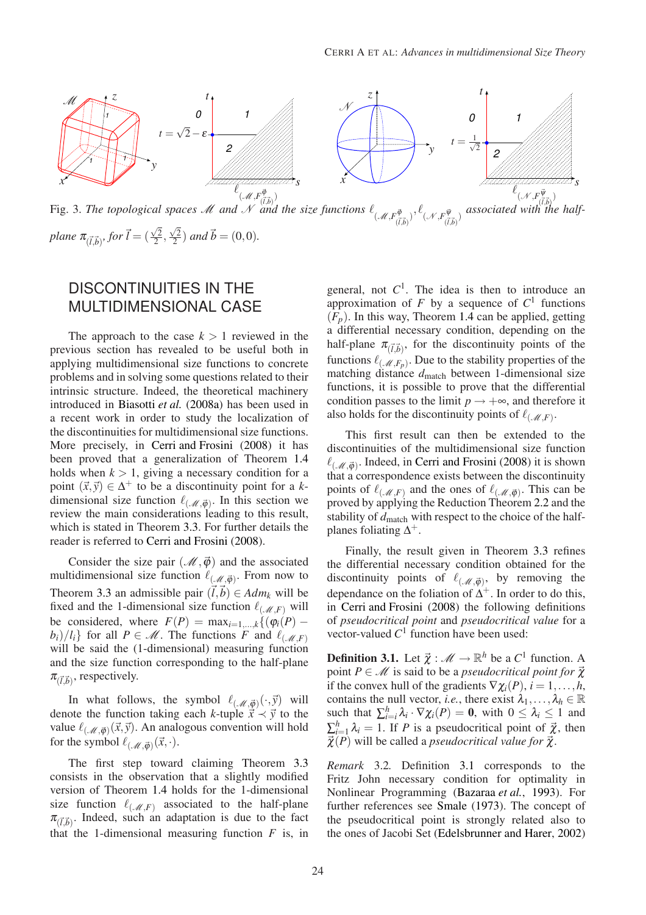

### <span id="page-5-0"></span>DISCONTINUITIES IN THE MULTIDIMENSIONAL CASE

The approach to the case  $k > 1$  reviewed in the previous section has revealed to be useful both in applying multidimensional size functions to concrete problems and in solving some questions related to their intrinsic structure. Indeed, the theoretical machinery introduced in [Biasotti](#page-7-19) *et al.* [\(2008a\)](#page-7-19) has been used in a recent work in order to study the localization of the discontinuities for multidimensional size functions. More precisely, in [Cerri and Frosini](#page-7-22) [\(2008\)](#page-7-22) it has been proved that a generalization of Theorem [1.4](#page-2-2) holds when  $k > 1$ , giving a necessary condition for a point  $(\vec{x}, \vec{y}) \in \Delta^+$  to be a discontinuity point for a *k*dimensional size function  $\ell_{(\mathcal{M}, \vec{\phi})}$ . In this section we review the main considerations leading to this result, which is stated in Theorem [3.3.](#page-6-0) For further details the reader is referred to [Cerri and Frosini](#page-7-22) [\(2008](#page-7-22)).

Consider the size pair ( $\mathcal{M}, \vec{\varphi}$ ) and the associated multidimensional size function  $\ell_{(\mathcal{M},\vec{\phi})}$ . From now to Theorem [3.3](#page-6-0) an admissible pair  $(\vec{l}, \vec{b}) \in Adm_k$  will be fixed and the 1-dimensional size function  $\ell_{(\mathcal{M},F)}$  will be considered, where  $F(P) = \max_{i=1,\dots,k} \{ (\varphi_i(P) - \varphi_i(P))\}$  $b_i$ / $l_i$ } for all  $P \in \mathcal{M}$ . The functions *F* and  $\ell_{(\mathcal{M},F)}$ will be said the (1-dimensional) measuring function and the size function corresponding to the half-plane  $\pi_{(\vec{l},\vec{b})}$ , respectively.

In what follows, the symbol  $\ell_{(\mathcal{M},\vec{\phi})}(\cdot,\vec{y})$  will denote the function taking each *k*-tuple  $\vec{x} \prec \vec{y}$  to the value  $\ell_{(\mathcal{M}, \vec{\phi})}(\vec{x}, \vec{y})$ . An analogous convention will hold for the symbol  $\ell_{(\mathcal{M},\vec{\phi})}(\vec{x},\cdot)$ .

The first step toward claiming Theorem [3.3](#page-6-0) consists in the observation that a slightly modified version of Theorem [1.4](#page-2-2) holds for the 1-dimensional size function  $\ell_{(\mathcal{M},F)}$  associated to the half-plane  $\pi_{(\vec{l},\vec{b})}$ . Indeed, such an adaptation is due to the fact that the 1-dimensional measuring function  $F$  is, in

general, not  $C^1$ . The idea is then to introduce an approximation of  $F$  by a sequence of  $C<sup>1</sup>$  functions  $(F_p)$ . In this way, Theorem [1.4](#page-2-2) can be applied, getting a differential necessary condition, depending on the half-plane  $\pi_{(\vec{l},\vec{b})}$ , for the discontinuity points of the functions  $\ell_{(\mathcal{M}, F_p)}$ . Due to the stability properties of the matching distance  $d_{\text{match}}$  between 1-dimensional size functions, it is possible to prove that the differential condition passes to the limit  $p \rightarrow +\infty$ , and therefore it also holds for the discontinuity points of  $\ell_{(\mathcal{M},F)}$ .

This first result can then be extended to the discontinuities of the multidimensional size function  $\ell_{(\mathcal{M},\vec{\phi})}$ . Indeed, in [Cerri and Frosini](#page-7-22) [\(2008\)](#page-7-22) it is shown that a correspondence exists between the discontinuity points of  $\ell_{(\mathcal{M},F)}$  and the ones of  $\ell_{(\mathcal{M},\vec{\phi})}$ . This can be proved by applying the Reduction Theorem [2.2](#page-3-0) and the stability of  $d_{\text{match}}$  with respect to the choice of the halfplanes foliating  $\Delta^+$ .

Finally, the result given in Theorem [3.3](#page-6-0) refines the differential necessary condition obtained for the discontinuity points of  $\ell_{(\mathcal{M},\vec{\phi})}$ , by removing the dependance on the foliation of  $\Delta^+$ . In order to do this, in [Cerri and Frosini](#page-7-22) [\(2008\)](#page-7-22) the following definitions of *pseudocritical point* and *pseudocritical value* for a vector-valued  $C^1$  function have been used:

<span id="page-5-1"></span>**Definition 3.1.** Let  $\vec{\chi}$  :  $\mathcal{M} \to \mathbb{R}^h$  be a  $C^1$  function. A point  $P \in \mathcal{M}$  is said to be a *pseudocritical point for*  $\vec{\chi}$ if the convex hull of the gradients  $\nabla \chi_i(P)$ ,  $i = 1, \ldots, h$ , contains the null vector, *i.e.*, there exist  $\lambda_1, \ldots, \lambda_h \in \mathbb{R}$ such that  $\sum_{i=i}^{h} \lambda_i \cdot \nabla \chi_i(P) = \mathbf{0}$ , with  $0 \leq \lambda_i \leq 1$  and  $\sum_{i=1}^{h} \lambda_i = 1$ . If *P* is a pseudocritical point of  $\vec{\chi}$ , then  $\vec{\chi}(P)$  will be called a *pseudocritical value for*  $\vec{\chi}$ .

*Remark* 3.2*.* Definition [3.1](#page-5-1) corresponds to the Fritz John necessary condition for optimality in Nonlinear Programming [\(Bazaraa](#page-6-1) *et al.*, [1993\)](#page-6-1). For further references see [Smale](#page-7-25) [\(1973\)](#page-7-25). The concept of the pseudocritical point is strongly related also to the ones of Jacobi Set [\(Edelsbrunner and Harer](#page-7-26), [2002\)](#page-7-26)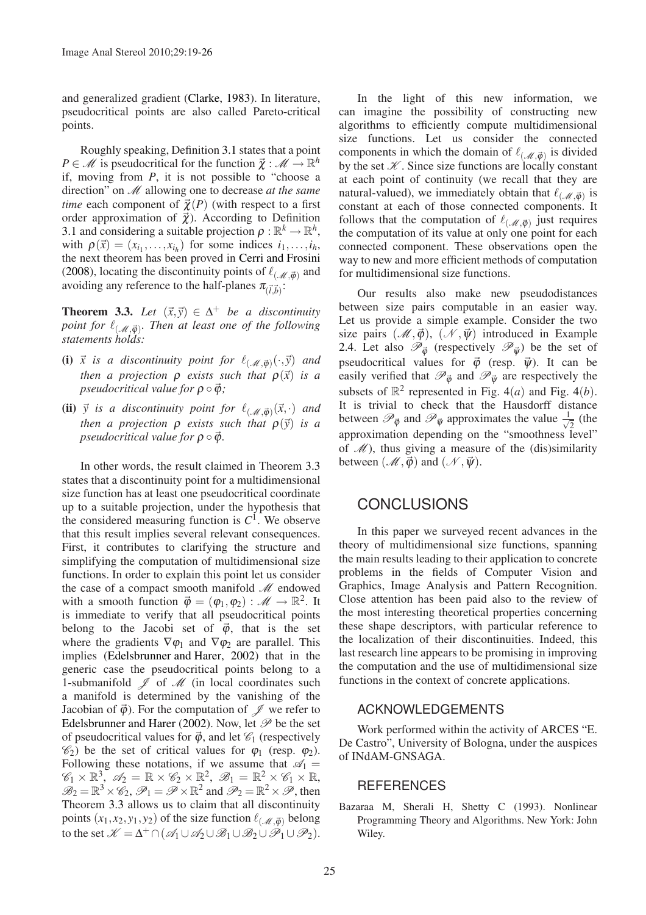and generalized gradient [\(Clarke](#page-7-27), [1983](#page-7-27)). In literature, pseudocritical points are also called Pareto-critical points.

Roughly speaking, Definition [3.1](#page-5-1) states that a point  $P \in \mathcal{M}$  is pseudocritical for the function  $\vec{\chi} : \mathcal{M} \to \mathbb{R}^h$ if, moving from *P*, it is not possible to "choose a direction" on M allowing one to decrease *at the same time* each component of  $\vec{\chi}(P)$  (with respect to a first order approximation of  $\vec{\chi}$ ). According to Definition [3.1](#page-5-1) and considering a suitable projection  $\rho : \mathbb{R}^k \to \mathbb{R}^h$ , with  $\rho(\vec{x}) = (x_{i_1}, \ldots, x_{i_h})$  for some indices  $i_1, \ldots, i_h$ , the next theorem has been proved in [Cerri and Frosini](#page-7-22) [\(2008\)](#page-7-22), locating the discontinuity points of  $\ell_{(\mathcal{M}, \vec{\phi})}$  and avoiding any reference to the half-planes  $\pi_{(\vec{l},\vec{b})}$ :

<span id="page-6-0"></span>**Theorem 3.3.** *Let*  $(\vec{x}, \vec{y}) \in \Delta^+$  *be a discontinuity point for* ℓ(M,~ϕ) *. Then at least one of the following statements holds:*

- **(i)**  $\vec{x}$  is a discontinuity point for  $\ell_{(\mathcal{M},\vec{\phi})}(\cdot,\vec{y})$  and *then a projection*  $\rho$  *exists such that*  $\rho(\vec{x})$  *is a pseudocritical value for*  $\rho \circ \vec{\phi}$ *;*
- **(ii)**  $\vec{y}$  is a discontinuity point for  $\ell_{(\mathcal{M},\vec{\phi})}(\vec{x},\cdot)$  and *then a projection*  $\rho$  *exists such that*  $\rho(\vec{y})$  *is a pseudocritical value for*  $\rho \circ \vec{\phi}$ .

In other words, the result claimed in Theorem [3.3](#page-6-0) states that a discontinuity point for a multidimensional size function has at least one pseudocritical coordinate up to a suitable projection, under the hypothesis that the considered measuring function is  $C^1$ . We observe that this result implies several relevant consequences. First, it contributes to clarifying the structure and simplifying the computation of multidimensional size functions. In order to explain this point let us consider the case of a compact smooth manifold  $\mathcal M$  endowed with a smooth function  $\vec{\varphi} = (\varphi_1, \varphi_2) : \mathcal{M} \to \mathbb{R}^2$ . It is immediate to verify that all pseudocritical points belong to the Jacobi set of  $\vec{\varphi}$ , that is the set where the gradients  $\nabla \varphi_1$  and  $\nabla \varphi_2$  are parallel. This implies [\(Edelsbrunner and Harer,](#page-7-26) [2002\)](#page-7-26) that in the generic case the pseudocritical points belong to a 1-submanifold  $\mathcal J$  of  $\mathcal M$  (in local coordinates such a manifold is determined by the vanishing of the Jacobian of  $\vec{\phi}$ ). For the computation of  $\mathscr{J}$  we refer to [Edelsbrunner and Harer](#page-7-26) [\(2002](#page-7-26)). Now, let  $\mathscr P$  be the set of pseudocritical values for  $\vec{\varphi}$ , and let  $\mathcal{C}_1$  (respectively  $\mathcal{C}_2$ ) be the set of critical values for  $\varphi_1$  (resp.  $\varphi_2$ ). Following these notations, if we assume that  $\mathcal{A}_1 =$  $\mathscr{C}_1 \times \mathbb{R}^3$ ,  $\mathscr{A}_2 = \mathbb{R} \times \mathscr{C}_2 \times \mathbb{R}^2$ ,  $\mathscr{B}_1 = \mathbb{R}^2 \times \mathscr{C}_1 \times \mathbb{R}$ ,  $\mathcal{B}_2 = \mathbb{R}^3 \times \mathcal{C}_2$ ,  $\mathcal{P}_1 = \mathcal{P} \times \mathbb{R}^2$  and  $\mathcal{P}_2 = \mathbb{R}^2 \times \mathcal{P}$ , then Theorem [3.3](#page-6-0) allows us to claim that all discontinuity points  $(x_1, x_2, y_1, y_2)$  of the size function  $\ell_{(\mathcal{M}, \vec{\phi})}$  belong to the set  $\mathcal{K} = \Delta^+ \cap (\mathcal{A}_1 \cup \mathcal{A}_2 \cup \mathcal{B}_1 \cup \mathcal{B}_2 \cup \mathcal{P}_1 \cup \mathcal{P}_2).$ 

In the light of this new information, we can imagine the possibility of constructing new algorithms to efficiently compute multidimensional size functions. Let us consider the connected components in which the domain of  $\ell_{(\mathcal{M}, \vec{\phi})}$  is divided by the set  $K$ . Since size functions are locally constant at each point of continuity (we recall that they are natural-valued), we immediately obtain that  $\ell_{(\mathcal{M}, \vec{\varphi})}$  is constant at each of those connected components. It follows that the computation of  $\ell_{(\mathcal{M},\vec{\phi})}$  just requires the computation of its value at only one point for each connected component. These observations open the way to new and more efficient methods of computation for multidimensional size functions.

Our results also make new pseudodistances between size pairs computable in an easier way. Let us provide a simple example. Consider the two size pairs  $(\mathcal{M}, \vec{\varphi})$ ,  $(\mathcal{N}, \vec{\psi})$  introduced in Example [2.4.](#page-4-1) Let also  $\mathcal{P}_{\vec{\theta}}$  (respectively  $\mathcal{P}_{\vec{\theta}}$ ) be the set of pseudocritical values for  $\vec{\phi}$  (resp.  $\vec{\psi}$ ). It can be easily verified that  $\mathcal{P}_{\vec{\phi}}$  and  $\mathcal{P}_{\vec{\psi}}$  are respectively the subsets of  $\mathbb{R}^2$  represented in Fig. [4](#page-7-28)(*a*) and Fig. 4(*b*). It is trivial to check that the Hausdorff distance between  $\mathscr{P}_{\vec{\varphi}}$  and  $\mathscr{P}_{\vec{\psi}}$  approximates the value  $\frac{1}{\sqrt{\pi}}$  $\overline{2}$  (the approximation depending on the "smoothness level" of  $\mathcal{M}$ ), thus giving a measure of the (dis)similarity between  $(\mathcal{M}, \vec{\varphi})$  and  $(\mathcal{N}, \vec{\psi})$ .

### **CONCLUSIONS**

In this paper we surveyed recent advances in the theory of multidimensional size functions, spanning the main results leading to their application to concrete problems in the fields of Computer Vision and Graphics, Image Analysis and Pattern Recognition. Close attention has been paid also to the review of the most interesting theoretical properties concerning these shape descriptors, with particular reference to the localization of their discontinuities. Indeed, this last research line appears to be promising in improving the computation and the use of multidimensional size functions in the context of concrete applications.

#### ACKNOWLEDGEMENTS

Work performed within the activity of ARCES "E. De Castro", University of Bologna, under the auspices of INdAM-GNSAGA.

#### **REFERENCES**

<span id="page-6-1"></span>Bazaraa M, Sherali H, Shetty C (1993). Nonlinear Programming Theory and Algorithms. New York: John Wiley.